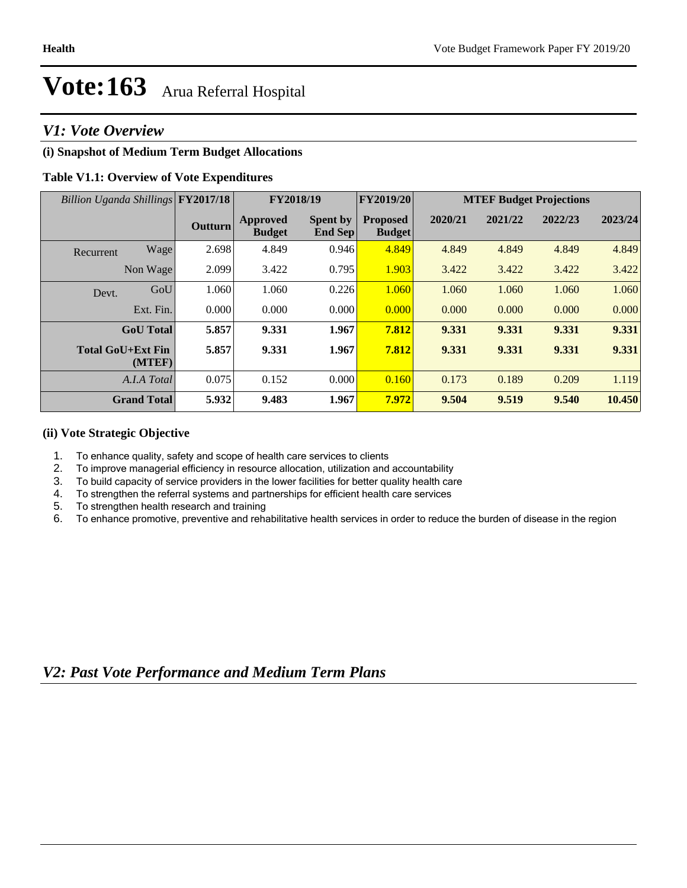### *V1: Vote Overview*

### **(i) Snapshot of Medium Term Budget Allocations**

#### **Table V1.1: Overview of Vote Expenditures**

| Billion Uganda Shillings FY2017/18 |                                    |                | FY2018/19                        |                                   | <b>FY2019/20</b>                 | <b>MTEF Budget Projections</b> |         |         |         |
|------------------------------------|------------------------------------|----------------|----------------------------------|-----------------------------------|----------------------------------|--------------------------------|---------|---------|---------|
|                                    |                                    | <b>Outturn</b> | <b>Approved</b><br><b>Budget</b> | <b>Spent by</b><br><b>End Sep</b> | <b>Proposed</b><br><b>Budget</b> | 2020/21                        | 2021/22 | 2022/23 | 2023/24 |
| Recurrent                          | Wage                               | 2.698          | 4.849                            | 0.946                             | 4.849                            | 4.849                          | 4.849   | 4.849   | 4.849   |
|                                    | Non Wage                           | 2.099          | 3.422                            | 0.795                             | 1.903                            | 3.422                          | 3.422   | 3.422   | 3.422   |
| Devt.                              | GoU                                | 1.060          | 1.060                            | 0.226                             | 1.060                            | 1.060                          | 1.060   | 1.060   | 1.060   |
|                                    | Ext. Fin.                          | 0.000          | 0.000                            | 0.000                             | 0.000                            | 0.000                          | 0.000   | 0.000   | 0.000   |
|                                    | <b>GoU</b> Total                   | 5.857          | 9.331                            | 1.967                             | 7.812                            | 9.331                          | 9.331   | 9.331   | 9.331   |
|                                    | <b>Total GoU+Ext Fin</b><br>(MTEF) | 5.857          | 9.331                            | 1.967                             | 7.812                            | 9.331                          | 9.331   | 9.331   | 9.331   |
|                                    | A.I.A Total                        | 0.075          | 0.152                            | 0.000                             | 0.160                            | 0.173                          | 0.189   | 0.209   | 1.119   |
|                                    | <b>Grand Total</b>                 | 5.932          | 9.483                            | 1.967                             | 7.972                            | 9.504                          | 9.519   | 9.540   | 10.450  |

#### **(ii) Vote Strategic Objective**

- 1. To enhance quality, safety and scope of health care services to clients
- 2. To improve managerial efficiency in resource allocation, utilization and accountability
- 3. To build capacity of service providers in the lower facilities for better quality health care
- 4. To strengthen the referral systems and partnerships for efficient health care services
- 5. To strengthen health research and training<br>6. To enhance promotive, preventive and reha
- To enhance promotive, preventive and rehabilitative health services in order to reduce the burden of disease in the region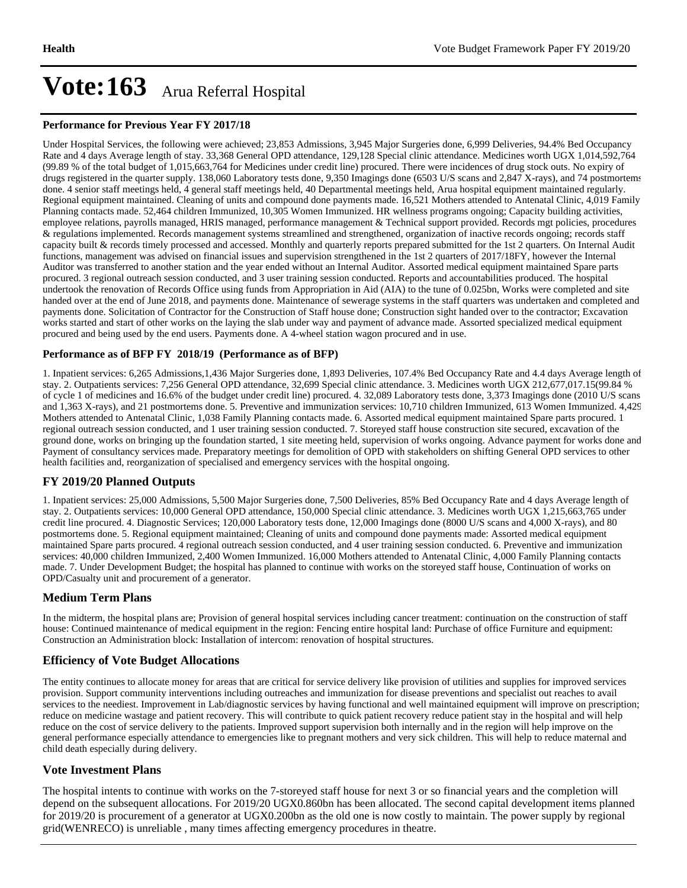#### **Performance for Previous Year FY 2017/18**

Under Hospital Services, the following were achieved; 23,853 Admissions, 3,945 Major Surgeries done, 6,999 Deliveries, 94.4% Bed Occupancy Rate and 4 days Average length of stay. 33,368 General OPD attendance, 129,128 Special clinic attendance. Medicines worth UGX 1,014,592,764 (99.89 % of the total budget of 1,015,663,764 for Medicines under credit line) procured. There were incidences of drug stock outs. No expiry of drugs registered in the quarter supply. 138,060 Laboratory tests done, 9,350 Imagings done (6503 U/S scans and 2,847 X-rays), and 74 postmortems done. 4 senior staff meetings held, 4 general staff meetings held, 40 Departmental meetings held, Arua hospital equipment maintained regularly. Regional equipment maintained. Cleaning of units and compound done payments made. 16,521 Mothers attended to Antenatal Clinic, 4,019 Family Planning contacts made. 52,464 children Immunized, 10,305 Women Immunized. HR wellness programs ongoing; Capacity building activities, employee relations, payrolls managed, HRIS managed, performance management & Technical support provided. Records mgt policies, procedures & regulations implemented. Records management systems streamlined and strengthened, organization of inactive records ongoing; records staff capacity built & records timely processed and accessed. Monthly and quarterly reports prepared submitted for the 1st 2 quarters. On Internal Audit functions, management was advised on financial issues and supervision strengthened in the 1st 2 quarters of 2017/18FY, however the Internal Auditor was transferred to another station and the year ended without an Internal Auditor. Assorted medical equipment maintained Spare parts procured. 3 regional outreach session conducted, and 3 user training session conducted. Reports and accountabilities produced. The hospital undertook the renovation of Records Office using funds from Appropriation in Aid (AIA) to the tune of 0.025bn, Works were completed and site handed over at the end of June 2018, and payments done. Maintenance of sewerage systems in the staff quarters was undertaken and completed and payments done. Solicitation of Contractor for the Construction of Staff house done; Construction sight handed over to the contractor; Excavation works started and start of other works on the laying the slab under way and payment of advance made. Assorted specialized medical equipment procured and being used by the end users. Payments done. A 4-wheel station wagon procured and in use.

#### **Performance as of BFP FY 2018/19 (Performance as of BFP)**

1. Inpatient services: 6,265 Admissions,1,436 Major Surgeries done, 1,893 Deliveries, 107.4% Bed Occupancy Rate and 4.4 days Average length of stay. 2. Outpatients services: 7,256 General OPD attendance, 32,699 Special clinic attendance. 3. Medicines worth UGX 212,677,017.15(99.84 % of cycle 1 of medicines and 16.6% of the budget under credit line) procured. 4. 32,089 Laboratory tests done, 3,373 Imagings done (2010 U/S scans and 1,363 X-rays), and 21 postmortems done. 5. Preventive and immunization services: 10,710 children Immunized, 613 Women Immunized. 4,429 Mothers attended to Antenatal Clinic, 1,038 Family Planning contacts made. 6. Assorted medical equipment maintained Spare parts procured. 1 regional outreach session conducted, and 1 user training session conducted. 7. Storeyed staff house construction site secured, excavation of the ground done, works on bringing up the foundation started, 1 site meeting held, supervision of works ongoing. Advance payment for works done and Payment of consultancy services made. Preparatory meetings for demolition of OPD with stakeholders on shifting General OPD services to other health facilities and, reorganization of specialised and emergency services with the hospital ongoing.

#### **FY 2019/20 Planned Outputs**

1. Inpatient services: 25,000 Admissions, 5,500 Major Surgeries done, 7,500 Deliveries, 85% Bed Occupancy Rate and 4 days Average length of stay. 2. Outpatients services: 10,000 General OPD attendance, 150,000 Special clinic attendance. 3. Medicines worth UGX 1,215,663,765 under credit line procured. 4. Diagnostic Services; 120,000 Laboratory tests done, 12,000 Imagings done (8000 U/S scans and 4,000 X-rays), and 80 postmortems done. 5. Regional equipment maintained; Cleaning of units and compound done payments made: Assorted medical equipment maintained Spare parts procured. 4 regional outreach session conducted, and 4 user training session conducted. 6. Preventive and immunization services: 40,000 children Immunized, 2,400 Women Immunized. 16,000 Mothers attended to Antenatal Clinic, 4,000 Family Planning contacts made. 7. Under Development Budget; the hospital has planned to continue with works on the storeyed staff house, Continuation of works on OPD/Casualty unit and procurement of a generator.

#### **Medium Term Plans**

In the midterm, the hospital plans are; Provision of general hospital services including cancer treatment: continuation on the construction of staff house: Continued maintenance of medical equipment in the region: Fencing entire hospital land: Purchase of office Furniture and equipment: Construction an Administration block: Installation of intercom: renovation of hospital structures.

#### **Efficiency of Vote Budget Allocations**

The entity continues to allocate money for areas that are critical for service delivery like provision of utilities and supplies for improved services provision. Support community interventions including outreaches and immunization for disease preventions and specialist out reaches to avail services to the neediest. Improvement in Lab/diagnostic services by having functional and well maintained equipment will improve on prescription; reduce on medicine wastage and patient recovery. This will contribute to quick patient recovery reduce patient stay in the hospital and will help reduce on the cost of service delivery to the patients. Improved support supervision both internally and in the region will help improve on the general performance especially attendance to emergencies like to pregnant mothers and very sick children. This will help to reduce maternal and child death especially during delivery.

#### **Vote Investment Plans**

The hospital intents to continue with works on the 7-storeyed staff house for next 3 or so financial years and the completion will depend on the subsequent allocations. For 2019/20 UGX0.860bn has been allocated. The second capital development items planned for 2019/20 is procurement of a generator at UGX0.200bn as the old one is now costly to maintain. The power supply by regional grid(WENRECO) is unreliable , many times affecting emergency procedures in theatre.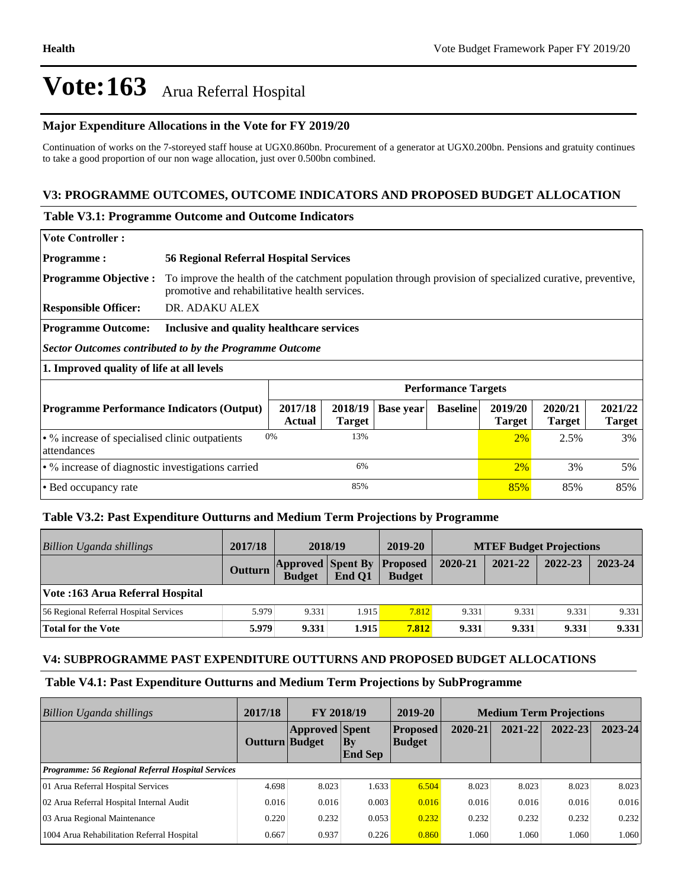#### **Major Expenditure Allocations in the Vote for FY 2019/20**

Continuation of works on the 7-storeyed staff house at UGX0.860bn. Procurement of a generator at UGX0.200bn. Pensions and gratuity continues to take a good proportion of our non wage allocation, just over 0.500bn combined.

#### **V3: PROGRAMME OUTCOMES, OUTCOME INDICATORS AND PROPOSED BUDGET ALLOCATION**

#### **Table V3.1: Programme Outcome and Outcome Indicators**

| <b>Vote Controller:</b>     |                                                                                                                                                                                        |
|-----------------------------|----------------------------------------------------------------------------------------------------------------------------------------------------------------------------------------|
| <b>Programme:</b>           | <b>56 Regional Referral Hospital Services</b>                                                                                                                                          |
|                             | <b>Programme Objective :</b> To improve the health of the catchment population through provision of specialized curative, preventive,<br>promotive and rehabilitative health services. |
| <b>Responsible Officer:</b> | DR. ADAKU ALEX                                                                                                                                                                         |
| <b>Programme Outcome:</b>   | Inclusive and quality healthcare services                                                                                                                                              |

*Sector Outcomes contributed to by the Programme Outcome*

**1. Improved quality of life at all levels**

|                                                                     | <b>Performance Targets</b> |               |                     |                 |                          |                          |                          |  |
|---------------------------------------------------------------------|----------------------------|---------------|---------------------|-----------------|--------------------------|--------------------------|--------------------------|--|
| <b>Programme Performance Indicators (Output)</b>                    | 2017/18<br><b>Actual</b>   | <b>Target</b> | $2018/19$ Base year | <b>Baseline</b> | 2019/20<br><b>Target</b> | 2020/21<br><b>Target</b> | 2021/22<br><b>Target</b> |  |
| $\cdot$ % increase of specialised clinic outpatients<br>attendances | 0%                         | 13%           |                     |                 | $2\%$                    | 2.5%                     | 3%                       |  |
| $\cdot$ % increase of diagnostic investigations carried             |                            | 6%            |                     |                 | 2%                       | 3%                       | 5%                       |  |
| • Bed occupancy rate                                                |                            | 85%           |                     |                 | 85%                      | 85%                      | 85%                      |  |

#### **Table V3.2: Past Expenditure Outturns and Medium Term Projections by Programme**

| <b>Billion Uganda shillings</b>        | 2017/18        | 2018/19                                            |        | 2019-20       | <b>MTEF Budget Projections</b> |         |         |         |
|----------------------------------------|----------------|----------------------------------------------------|--------|---------------|--------------------------------|---------|---------|---------|
|                                        | <b>Outturn</b> | <b>Approved Spent By Proposed</b><br><b>Budget</b> | End O1 | <b>Budget</b> | 2020-21                        | 2021-22 | 2022-23 | 2023-24 |
| Vote :163 Arua Referral Hospital       |                |                                                    |        |               |                                |         |         |         |
| 56 Regional Referral Hospital Services | 5.979          | 9.331                                              | 1.915  | 7.812         | 9.331                          | 9.331   | 9.331   | 9.331   |
| Total for the Vote                     | 5.979          | 9.331                                              | 1.915  | 7.812         | 9.331                          | 9.331   | 9.331   | 9.331   |

#### **V4: SUBPROGRAMME PAST EXPENDITURE OUTTURNS AND PROPOSED BUDGET ALLOCATIONS**

#### **Table V4.1: Past Expenditure Outturns and Medium Term Projections by SubProgramme**

| Billion Uganda shillings                                 | 2017/18        | <b>FY 2018/19</b>     |                          | 2019-20                          | <b>Medium Term Projections</b> |         |             |             |
|----------------------------------------------------------|----------------|-----------------------|--------------------------|----------------------------------|--------------------------------|---------|-------------|-------------|
|                                                          | Outturn Budget | <b>Approved Spent</b> | $ $ By<br><b>End Sep</b> | <b>Proposed</b><br><b>Budget</b> | 2020-21                        | 2021-22 | $2022 - 23$ | $2023 - 24$ |
| <b>Programme: 56 Regional Referral Hospital Services</b> |                |                       |                          |                                  |                                |         |             |             |
| 01 Arua Referral Hospital Services                       | 4.698          | 8.023                 | 1.633                    | 6.504                            | 8.023                          | 8.023   | 8.023       | 8.023       |
| 02 Arua Referral Hospital Internal Audit                 | 0.016          | 0.016                 | 0.003                    | 0.016                            | 0.016                          | 0.016   | 0.016       | 0.016       |
| 03 Arua Regional Maintenance                             | 0.220          | 0.232                 | 0.053                    | 0.232                            | 0.232                          | 0.232   | 0.232       | 0.232       |
| 1004 Arua Rehabilitation Referral Hospital               | 0.667          | 0.937                 | 0.226                    | 0.860                            | 1.060                          | 1.060   | 1.060       | 1.060       |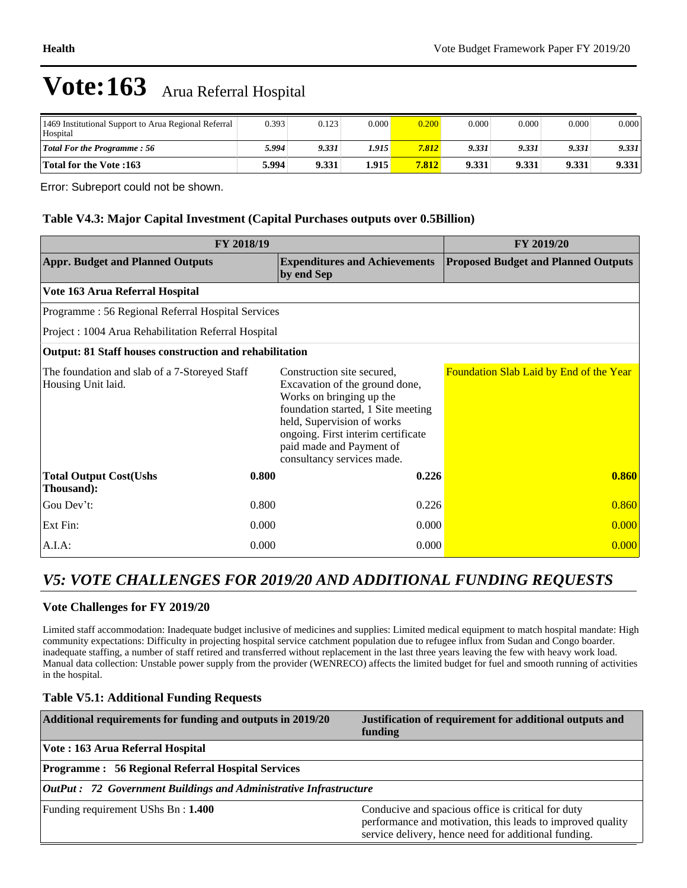| 1469 Institutional Support to Arua Regional Referral<br>Hospital | 0.393  | 0.123 | 0.000  | 0.200 | 0.000 | 0.000 | 0.000 | 0.000 |
|------------------------------------------------------------------|--------|-------|--------|-------|-------|-------|-------|-------|
| <b>Total For the Programme: 56</b>                               | 5.994' | 9.331 | 1.915' | 7.812 | 9.331 | 9.331 | 9.331 | 9.331 |
| <b>Total for the Vote :163</b>                                   | 5.994  | 9.331 | 1.915  | 7.812 | 9.331 | 9.331 | 9.331 | 9.331 |

Error: Subreport could not be shown.

#### **Table V4.3: Major Capital Investment (Capital Purchases outputs over 0.5Billion)**

|                                                                     | FY 2019/20 |                                                                                                                                                                                                                                                              |                                            |
|---------------------------------------------------------------------|------------|--------------------------------------------------------------------------------------------------------------------------------------------------------------------------------------------------------------------------------------------------------------|--------------------------------------------|
| <b>Appr. Budget and Planned Outputs</b>                             |            | <b>Expenditures and Achievements</b><br>by end Sep                                                                                                                                                                                                           | <b>Proposed Budget and Planned Outputs</b> |
| Vote 163 Arua Referral Hospital                                     |            |                                                                                                                                                                                                                                                              |                                            |
| Programme: 56 Regional Referral Hospital Services                   |            |                                                                                                                                                                                                                                                              |                                            |
| Project : 1004 Arua Rehabilitation Referral Hospital                |            |                                                                                                                                                                                                                                                              |                                            |
| Output: 81 Staff houses construction and rehabilitation             |            |                                                                                                                                                                                                                                                              |                                            |
| The foundation and slab of a 7-Storeyed Staff<br>Housing Unit laid. |            | Construction site secured,<br>Excavation of the ground done,<br>Works on bringing up the<br>foundation started, 1 Site meeting<br>held, Supervision of works<br>ongoing. First interim certificate<br>paid made and Payment of<br>consultancy services made. | Foundation Slab Laid by End of the Year    |
| <b>Total Output Cost(Ushs</b><br>Thousand):                         | 0.800      | 0.226                                                                                                                                                                                                                                                        | 0.860                                      |
| Gou Dev't:                                                          | 0.800      | 0.226                                                                                                                                                                                                                                                        | 0.860                                      |
| Ext Fin:                                                            | 0.000      | 0.000                                                                                                                                                                                                                                                        | 0.000                                      |
| A.I.A.                                                              | 0.000      | 0.000                                                                                                                                                                                                                                                        | 0.000                                      |

### *V5: VOTE CHALLENGES FOR 2019/20 AND ADDITIONAL FUNDING REQUESTS*

#### **Vote Challenges for FY 2019/20**

Limited staff accommodation: Inadequate budget inclusive of medicines and supplies: Limited medical equipment to match hospital mandate: High community expectations: Difficulty in projecting hospital service catchment population due to refugee influx from Sudan and Congo boarder. inadequate staffing, a number of staff retired and transferred without replacement in the last three years leaving the few with heavy work load. Manual data collection: Unstable power supply from the provider (WENRECO) affects the limited budget for fuel and smooth running of activities in the hospital.

#### **Table V5.1: Additional Funding Requests**

| Additional requirements for funding and outputs in 2019/20                | Justification of requirement for additional outputs and<br>funding                                                                                                       |  |  |  |  |
|---------------------------------------------------------------------------|--------------------------------------------------------------------------------------------------------------------------------------------------------------------------|--|--|--|--|
| Vote : 163 Arua Referral Hospital                                         |                                                                                                                                                                          |  |  |  |  |
| <b>Programme: 56 Regional Referral Hospital Services</b>                  |                                                                                                                                                                          |  |  |  |  |
| <b>OutPut : 72 Government Buildings and Administrative Infrastructure</b> |                                                                                                                                                                          |  |  |  |  |
| Funding requirement UShs Bn: 1.400                                        | Conducive and spacious office is critical for duty<br>performance and motivation, this leads to improved quality<br>service delivery, hence need for additional funding. |  |  |  |  |